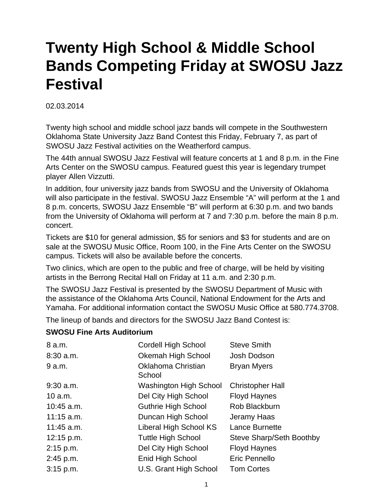## **Twenty High School & Middle School Bands Competing Friday at SWOSU Jazz Festival**

## 02.03.2014

Twenty high school and middle school jazz bands will compete in the Southwestern Oklahoma State University Jazz Band Contest this Friday, February 7, as part of SWOSU Jazz Festival activities on the Weatherford campus.

The 44th annual SWOSU Jazz Festival will feature concerts at 1 and 8 p.m. in the Fine Arts Center on the SWOSU campus. Featured guest this year is legendary trumpet player Allen Vizzutti.

In addition, four university jazz bands from SWOSU and the University of Oklahoma will also participate in the festival. SWOSU Jazz Ensemble "A" will perform at the 1 and 8 p.m. concerts, SWOSU Jazz Ensemble "B" will perform at 6:30 p.m. and two bands from the University of Oklahoma will perform at 7 and 7:30 p.m. before the main 8 p.m. concert.

Tickets are \$10 for general admission, \$5 for seniors and \$3 for students and are on sale at the SWOSU Music Office, Room 100, in the Fine Arts Center on the SWOSU campus. Tickets will also be available before the concerts.

Two clinics, which are open to the public and free of charge, will be held by visiting artists in the Berrong Recital Hall on Friday at 11 a.m. and 2:30 p.m.

The SWOSU Jazz Festival is presented by the SWOSU Department of Music with the assistance of the Oklahoma Arts Council, National Endowment for the Arts and Yamaha. For additional information contact the SWOSU Music Office at 580.774.3708.

The lineup of bands and directors for the SWOSU Jazz Band Contest is:

## **SWOSU Fine Arts Auditorium**

| 8 a.m.       | <b>Cordell High School</b>    | <b>Steve Smith</b>       |
|--------------|-------------------------------|--------------------------|
| $8:30$ a.m.  | Okemah High School            | Josh Dodson              |
| 9 a.m.       | Oklahoma Christian<br>School  | <b>Bryan Myers</b>       |
| $9:30$ a.m.  | Washington High School        | <b>Christopher Hall</b>  |
| 10 a.m.      | Del City High School          | <b>Floyd Haynes</b>      |
| $10:45$ a.m. | Guthrie High School           | Rob Blackburn            |
| $11:15$ a.m. | Duncan High School            | Jeramy Haas              |
| $11:45$ a.m. | <b>Liberal High School KS</b> | Lance Burnette           |
| 12:15 p.m.   | <b>Tuttle High School</b>     | Steve Sharp/Seth Boothby |
| 2:15 p.m.    | Del City High School          | <b>Floyd Haynes</b>      |
| 2:45 p.m.    | Enid High School              | Eric Pennello            |
| $3:15$ p.m.  | U.S. Grant High School        | <b>Tom Cortes</b>        |